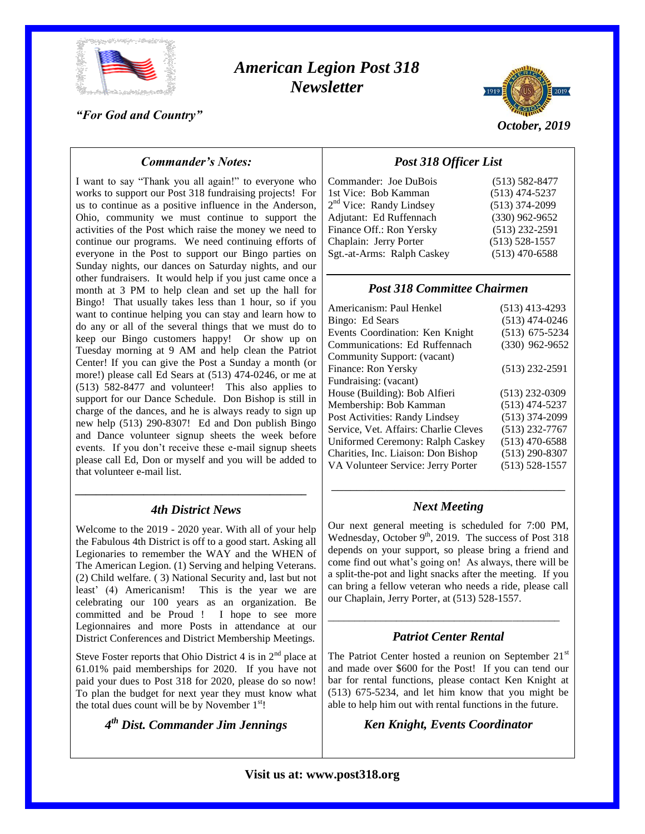

# *American Legion Post 318 Newsletter*

*"For God and Country"*



*October, 2019*

# *Commander's Notes:*

I want to say "Thank you all again!" to everyone who works to support our Post 318 fundraising projects! For us to continue as a positive influence in the Anderson, Ohio, community we must continue to support the activities of the Post which raise the money we need to continue our programs. We need continuing efforts of everyone in the Post to support our Bingo parties on Sunday nights, our dances on Saturday nights, and our other fundraisers. It would help if you just came once a month at 3 PM to help clean and set up the hall for Bingo! That usually takes less than 1 hour, so if you want to continue helping you can stay and learn how to do any or all of the several things that we must do to keep our Bingo customers happy! Or show up on Tuesday morning at 9 AM and help clean the Patriot Center! If you can give the Post a Sunday a month (or more!) please call Ed Sears at (513) 474-0246, or me at (513) 582-8477 and volunteer! This also applies to support for our Dance Schedule. Don Bishop is still in charge of the dances, and he is always ready to sign up new help (513) 290-8307! Ed and Don publish Bingo and Dance volunteer signup sheets the week before events. If you don't receive these e-mail signup sheets please call Ed, Don or myself and you will be added to that volunteer e-mail list.

# *\_\_\_\_\_\_\_\_\_\_\_\_\_\_\_\_\_\_\_\_\_\_\_\_\_\_\_\_\_\_\_\_\_\_\_\_\_\_\_\_\_\_\_\_ 4th District News*

Welcome to the 2019 - 2020 year. With all of your help the Fabulous 4th District is off to a good start. Asking all Legionaries to remember the WAY and the WHEN of The American Legion. (1) Serving and helping Veterans. (2) Child welfare. ( 3) National Security and, last but not least' (4) Americanism! This is the year we are celebrating our 100 years as an organization. Be committed and be Proud ! I hope to see more Legionnaires and more Posts in attendance at our District Conferences and District Membership Meetings.

Steve Foster reports that Ohio District 4 is in  $2<sup>nd</sup>$  place at 61.01% paid memberships for 2020. If you have not paid your dues to Post 318 for 2020, please do so now! To plan the budget for next year they must know what the total dues count will be by November  $1<sup>st</sup>$ !

*4 th Dist. Commander Jim Jennings*

# *Post 318 Officer List*

| Commander: Joe DuBois               | $(513) 582 - 8477$ |
|-------------------------------------|--------------------|
| 1st Vice: Bob Kamman                | $(513)$ 474-5237   |
| 2 <sup>nd</sup> Vice: Randy Lindsey | $(513)$ 374-2099   |
| Adjutant: Ed Ruffennach             | $(330)$ 962-9652   |
| Finance Off.: Ron Yersky            | $(513)$ 232-2591   |
| Chaplain: Jerry Porter              | $(513) 528 - 1557$ |
| Sgt.-at-Arms: Ralph Caskey          | $(513)$ 470-6588   |
|                                     |                    |

## *Post 318 Committee Chairmen*

| Americanism: Paul Henkel              | $(513)$ 413-4293   |
|---------------------------------------|--------------------|
| Bingo: Ed Sears                       | $(513)$ 474-0246   |
| Events Coordination: Ken Knight       | $(513)$ 675-5234   |
| Communications: Ed Ruffennach         | $(330)$ 962-9652   |
| Community Support: (vacant)           |                    |
| Finance: Ron Yersky                   | $(513)$ 232-2591   |
| Fundraising: (vacant)                 |                    |
| House (Building): Bob Alfieri         | $(513)$ 232-0309   |
| Membership: Bob Kamman                | $(513)$ 474-5237   |
| Post Activities: Randy Lindsey        | $(513)$ 374-2099   |
| Service, Vet. Affairs: Charlie Cleves | $(513)$ 232-7767   |
| Uniformed Ceremony: Ralph Caskey      | $(513)$ 470-6588   |
| Charities, Inc. Liaison: Don Bishop   | $(513)$ 290-8307   |
| VA Volunteer Service: Jerry Porter    | $(513) 528 - 1557$ |
|                                       |                    |

# \_\_\_\_\_\_\_\_\_\_\_\_\_\_\_\_\_\_\_\_\_\_\_\_\_\_\_\_\_\_\_\_\_\_\_\_\_ *Next Meeting*

Our next general meeting is scheduled for 7:00 PM, Wednesday, October  $9<sup>th</sup>$ , 2019. The success of Post 318 depends on your support, so please bring a friend and come find out what's going on! As always, there will be a split-the-pot and light snacks after the meeting. If you can bring a fellow veteran who needs a ride, please call our Chaplain, Jerry Porter, at (513) 528-1557.

# *Patriot Center Rental*

\_\_\_\_\_\_\_\_\_\_\_\_\_\_\_\_\_\_\_\_\_\_\_\_\_\_\_\_\_\_\_\_\_\_\_\_\_\_\_\_\_\_\_\_

The Patriot Center hosted a reunion on September  $21<sup>st</sup>$ and made over \$600 for the Post! If you can tend our bar for rental functions, please contact Ken Knight at (513) 675-5234, and let him know that you might be able to help him out with rental functions in the future.

*Ken Knight, Events Coordinator*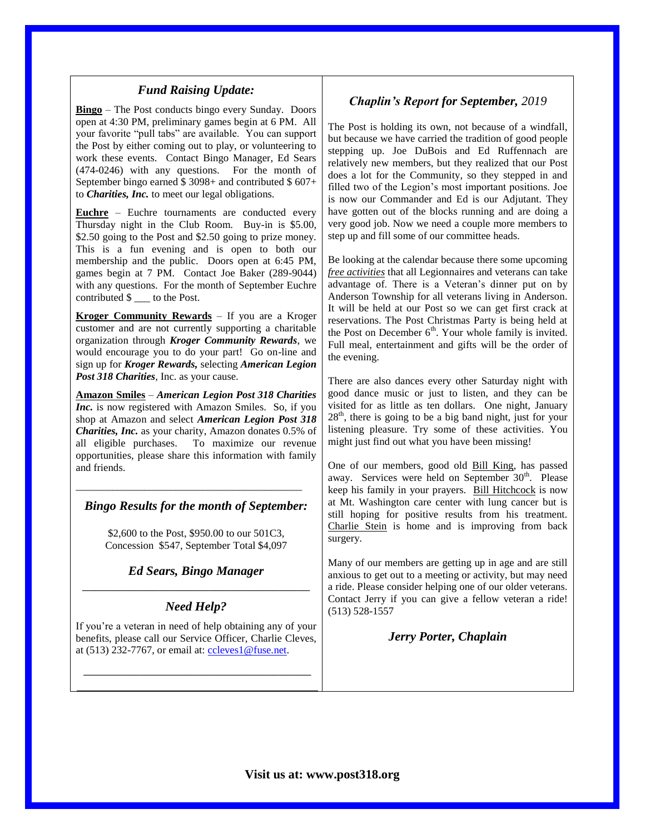## *Fund Raising Update:*

**Bingo** – The Post conducts bingo every Sunday. Doors open at 4:30 PM, preliminary games begin at 6 PM. All your favorite "pull tabs" are available. You can support the Post by either coming out to play, or volunteering to work these events. Contact Bingo Manager, Ed Sears (474-0246) with any questions. For the month of September bingo earned \$ 3098+ and contributed \$ 607+ to *Charities, Inc.* to meet our legal obligations.

**Euchre** – Euchre tournaments are conducted every Thursday night in the Club Room. Buy-in is \$5.00, \$2.50 going to the Post and \$2.50 going to prize money. This is a fun evening and is open to both our membership and the public. Doors open at 6:45 PM, games begin at 7 PM. Contact Joe Baker (289-9044) with any questions. For the month of September Euchre contributed \$  $\qquad$  to the Post.

**Kroger Community Rewards** – If you are a Kroger customer and are not currently supporting a charitable organization through *Kroger Community Rewards*, we would encourage you to do your part! Go on-line and sign up for *Kroger Rewards,* selecting *American Legion Post 318 Charities*, Inc. as your cause.

**Amazon Smiles** – *American Legion Post 318 Charities Inc.* is now registered with Amazon Smiles. So, if you shop at Amazon and select *American Legion Post 318 Charities, Inc.* as your charity, Amazon donates 0.5% of all eligible purchases. To maximize our revenue opportunities, please share this information with family and friends.

#### *Bingo Results for the month of September:*

\_\_\_\_\_\_\_\_\_\_\_\_\_\_\_\_\_\_\_\_\_\_\_\_\_\_\_\_\_\_\_\_\_\_\_\_\_\_\_\_\_\_\_

\$2,600 to the Post, \$950.00 to our 501C3, Concession \$547, September Total \$4,097

## *Ed Sears, Bingo Manager* \_\_\_\_\_\_\_\_\_\_\_\_\_\_\_\_\_\_\_\_\_\_\_\_\_\_\_\_\_\_\_\_\_\_\_\_

## *Need Help?*

If you're a veteran in need of help obtaining any of your benefits, please call our Service Officer, Charlie Cleves, at (513) 232-7767, or email at: [ccleves1@fuse.net.](mailto:ccleves1@fuse.net)

\_\_\_\_\_\_\_\_\_\_\_\_\_\_\_\_\_\_\_\_\_\_\_\_\_\_\_\_\_\_\_\_\_\_\_\_

## *Chaplin's Report for September, 2019*

The Post is holding its own, not because of a windfall, but because we have carried the tradition of good people stepping up. Joe DuBois and Ed Ruffennach are relatively new members, but they realized that our Post does a lot for the Community, so they stepped in and filled two of the Legion's most important positions. Joe is now our Commander and Ed is our Adjutant. They have gotten out of the blocks running and are doing a very good job. Now we need a couple more members to step up and fill some of our committee heads.

Be looking at the calendar because there some upcoming *free activities* that all Legionnaires and veterans can take advantage of. There is a Veteran's dinner put on by Anderson Township for all veterans living in Anderson. It will be held at our Post so we can get first crack at reservations. The Post Christmas Party is being held at the Post on December  $6<sup>th</sup>$ . Your whole family is invited. Full meal, entertainment and gifts will be the order of the evening.

There are also dances every other Saturday night with good dance music or just to listen, and they can be visited for as little as ten dollars. One night, January  $28<sup>th</sup>$ , there is going to be a big band night, just for your listening pleasure. Try some of these activities. You might just find out what you have been missing!

One of our members, good old Bill King, has passed away. Services were held on September 30<sup>th</sup>. Please keep his family in your prayers. Bill Hitchcock is now at Mt. Washington care center with lung cancer but is still hoping for positive results from his treatment. Charlie Stein is home and is improving from back surgery.

Many of our members are getting up in age and are still anxious to get out to a meeting or activity, but may need a ride. Please consider helping one of our older veterans. Contact Jerry if you can give a fellow veteran a ride! (513) 528-1557

#### *Jerry Porter, Chaplain*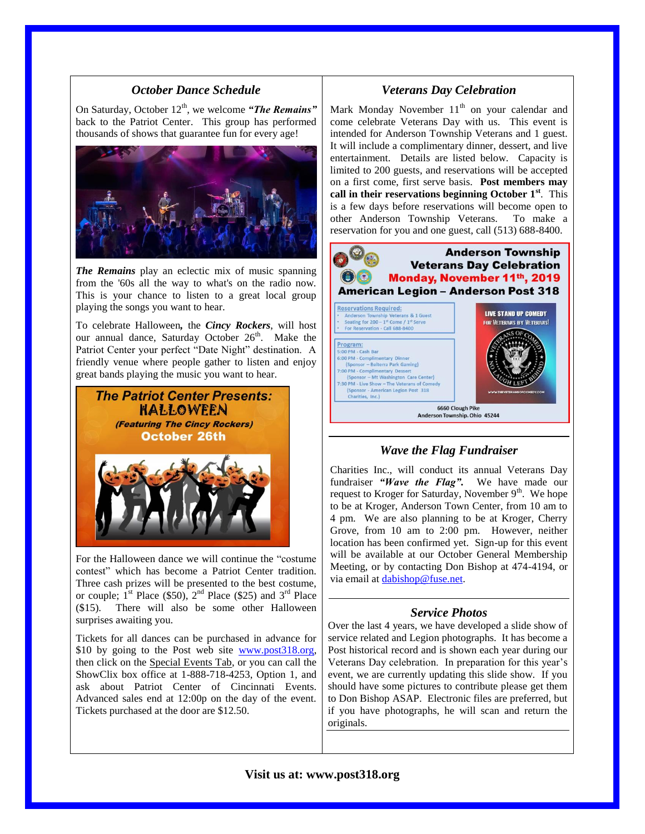## *October Dance Schedule*

On Saturday, October 12<sup>th</sup>, we welcome "**The Remains**" back to the Patriot Center. This group has performed thousands of shows that guarantee fun for every age!



*The Remains* play an eclectic mix of music spanning from the '60s all the way to what's on the radio now. This is your chance to listen to a great local group playing the songs you want to hear.

To celebrate Halloween*,* the *Cincy Rockers*, will host our annual dance, Saturday October 26<sup>th</sup>. Make the Patriot Center your perfect "Date Night" destination. A friendly venue where people gather to listen and enjoy great bands playing the music you want to hear.



For the Halloween dance we will continue the "costume contest" which has become a Patriot Center tradition. Three cash prizes will be presented to the best costume, or couple;  $1^{st}$  Place (\$50),  $2^{nd}$  Place (\$25) and  $3^{rd}$  Place (\$15). There will also be some other Halloween surprises awaiting you.

Tickets for all dances can be purchased in advance for \$10 by going to the Post web site [www.post318.org,](http://www.post318.org/) then click on the Special Events Tab, or you can call the ShowClix box office at 1-888-718-4253, Option 1, and ask about Patriot Center of Cincinnati Events. Advanced sales end at 12:00p on the day of the event. Tickets purchased at the door are \$12.50.

#### *Veterans Day Celebration*

Mark Monday November  $11<sup>th</sup>$  on your calendar and come celebrate Veterans Day with us. This event is intended for Anderson Township Veterans and 1 guest. It will include a complimentary dinner, dessert, and live entertainment. Details are listed below. Capacity is limited to 200 guests, and reservations will be accepted on a first come, first serve basis. **Post members may call in their reservations beginning October 1st**. This is a few days before reservations will become open to other Anderson Township Veterans. To make a reservation for you and one guest, call (513) 688-8400.



#### *Wave the Flag Fundraiser*

Charities Inc., will conduct its annual Veterans Day fundraiser *"Wave the Flag".* We have made our request to Kroger for Saturday, November  $9<sup>th</sup>$ . We hope to be at Kroger, Anderson Town Center, from 10 am to 4 pm. We are also planning to be at Kroger, Cherry Grove, from 10 am to 2:00 pm. However, neither location has been confirmed yet. Sign-up for this event will be available at our October General Membership Meeting, or by contacting Don Bishop at 474-4194, or via email a[t dabishop@fuse.net.](mailto:dabishop@fuse.net)

#### *Service Photos*

Over the last 4 years, we have developed a slide show of service related and Legion photographs. It has become a Post historical record and is shown each year during our Veterans Day celebration. In preparation for this year's event, we are currently updating this slide show. If you should have some pictures to contribute please get them to Don Bishop ASAP. Electronic files are preferred, but if you have photographs, he will scan and return the originals.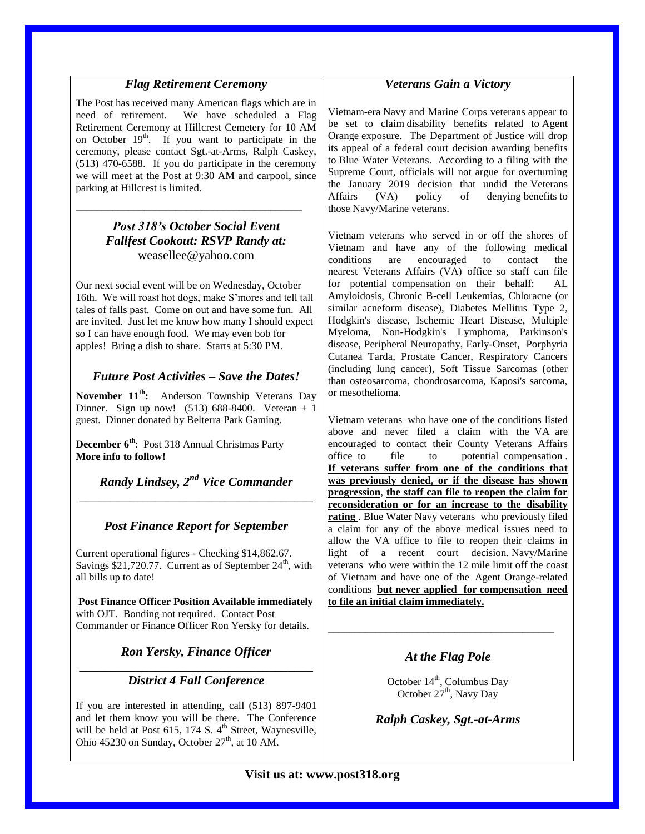# *Flag Retirement Ceremony*

The Post has received many American flags which are in need of retirement. We have scheduled a Flag Retirement Ceremony at Hillcrest Cemetery for 10 AM on October  $19<sup>th</sup>$ . If you want to participate in the ceremony, please contact Sgt.-at-Arms, Ralph Caskey, (513) 470-6588. If you do participate in the ceremony we will meet at the Post at 9:30 AM and carpool, since parking at Hillcrest is limited.

# *Post 318's October Social Event Fallfest Cookout: RSVP Randy at:* weasellee@yahoo.com

\_\_\_\_\_\_\_\_\_\_\_\_\_\_\_\_\_\_\_\_\_\_\_\_\_\_\_\_\_\_\_\_\_\_\_\_\_\_\_\_\_\_\_

Our next social event will be on Wednesday, October 16th. We will roast hot dogs, make S'mores and tell tall tales of falls past. Come on out and have some fun. All are invited. Just let me know how many I should expect so I can have enough food. We may even bob for apples! Bring a dish to share. Starts at 5:30 PM.

## *Future Post Activities – Save the Dates!*

**November 11th:** Anderson Township Veterans Day Dinner. Sign up now! (513) 688-8400. Veteran + 1 guest. Dinner donated by Belterra Park Gaming.

**December 6th**: Post 318 Annual Christmas Party **More info to follow!**

*Randy Lindsey, 2nd Vice Commander* \_\_\_\_\_\_\_\_\_\_\_\_\_\_\_\_\_\_\_\_\_\_\_\_\_\_\_\_\_\_\_\_\_\_\_\_\_

# *Post Finance Report for September*

Current operational figures - Checking \$14,862.67. Savings  $$21,720.77$ . Current as of September  $24<sup>th</sup>$ , with all bills up to date!

**Post Finance Officer Position Available immediately** with OJT. Bonding not required. Contact Post Commander or Finance Officer Ron Yersky for details.

*Ron Yersky, Finance Officer*

\_\_\_\_\_\_\_\_\_\_\_\_\_\_\_\_\_\_\_\_\_\_\_\_\_\_\_\_\_\_\_\_\_\_\_\_\_ *District 4 Fall Conference*

If you are interested in attending, call (513) 897-9401 and let them know you will be there. The Conference will be held at Post  $615$ , 174 S.  $4<sup>th</sup>$  Street, Waynesville, Ohio 45230 on Sunday, October  $27<sup>th</sup>$ , at 10 AM.

# *Veterans Gain a Victory*

Vietnam-era [Navy and Marine Corps veterans](http://r20.rs6.net/tn.jsp?f=001OUx-e5VfNJm3aDU6nTr5xcdME3MWo4tPqb8n9bbt8GaiJe_j5CxlhrvqSPjptGh_uthj6exRXnn7xXSt7DzSJ2XQjN71DvgFM9kTo2zwSBa54bLxQKBVoRqSvOPVkyRWDloZa0IKCPGZHwuOuDxe9cP_X_-ukMATQNnJaqN8BSJ49ikDJODDnfHXKapIYtshHgRM3OlmV-5NN8UA45CHBwQygNRvITYUE8pBvHhmpQUocJpJ1-J8aEW0gPYWN3S4hD56wujSdEO_3QXrPU60OkPH2K1etU1b&c=HnrMPCitRMI1PjWJH4JIKo21unx-4B7WNM367dgBIVbOXnmrvUjpQA==&ch=F7lYi6tXPnaZBEHVdiQyhYc7xwVEHCNBls0M5GR-UX78DpyOAquy0g==) appear to be set to claim [disability benefits](http://r20.rs6.net/tn.jsp?f=001OUx-e5VfNJm3aDU6nTr5xcdME3MWo4tPqb8n9bbt8GaiJe_j5CxlhrvqSPjptGh_RvbHWyysPOJyEZFh0EDHJwddlGtZTC3WN73bH7eznbC7NJ21BsCcUPK9C2KWwisn-r-bzRzWP3RTL82EqAzirupdVg1q4FGKbrHd4jrXxe9cCXlKgWgASO5T2SSV1cpeRWww1mFBlT-tiLC8IC-V2GprD5bChqtfWY0IwkqC95V8zg9zhks9S5rf3cdsO5SIR7nJvMhrgqsyhvIoY8-TI4BJ9LtMYvzt&c=HnrMPCitRMI1PjWJH4JIKo21unx-4B7WNM367dgBIVbOXnmrvUjpQA==&ch=F7lYi6tXPnaZBEHVdiQyhYc7xwVEHCNBls0M5GR-UX78DpyOAquy0g==) related to [Agent](http://r20.rs6.net/tn.jsp?f=001OUx-e5VfNJm3aDU6nTr5xcdME3MWo4tPqb8n9bbt8GaiJe_j5CxlhrvqSPjptGh_ykHNmLNIQ7eVuwytIj_a5Lf5wQXrY3DOYDl0a5S9stdOrm8JOcDg0ILcWhUT6V4g8YSDL-cW7Ez6ogrS25vdK1CCZnWwOAmEB_0pG6R1VkIWlQsxGBmn51K2Rv1Fm9UEF7ZmoqdVgQoxZvRYp3Ckl6caoyyo6oybvZaOpOzAdjgVnWmF3NfCNj3kE91hc161SFjV_75K4Om0fftLtiHeETZEaJUIXZ14&c=HnrMPCitRMI1PjWJH4JIKo21unx-4B7WNM367dgBIVbOXnmrvUjpQA==&ch=F7lYi6tXPnaZBEHVdiQyhYc7xwVEHCNBls0M5GR-UX78DpyOAquy0g==)  [Orange](http://r20.rs6.net/tn.jsp?f=001OUx-e5VfNJm3aDU6nTr5xcdME3MWo4tPqb8n9bbt8GaiJe_j5CxlhrvqSPjptGh_ykHNmLNIQ7eVuwytIj_a5Lf5wQXrY3DOYDl0a5S9stdOrm8JOcDg0ILcWhUT6V4g8YSDL-cW7Ez6ogrS25vdK1CCZnWwOAmEB_0pG6R1VkIWlQsxGBmn51K2Rv1Fm9UEF7ZmoqdVgQoxZvRYp3Ckl6caoyyo6oybvZaOpOzAdjgVnWmF3NfCNj3kE91hc161SFjV_75K4Om0fftLtiHeETZEaJUIXZ14&c=HnrMPCitRMI1PjWJH4JIKo21unx-4B7WNM367dgBIVbOXnmrvUjpQA==&ch=F7lYi6tXPnaZBEHVdiQyhYc7xwVEHCNBls0M5GR-UX78DpyOAquy0g==) exposure. The Department of Justice will drop its appeal of a federal court decision awarding benefits to [Blue Water Veterans.](http://r20.rs6.net/tn.jsp?f=001OUx-e5VfNJm3aDU6nTr5xcdME3MWo4tPqb8n9bbt8GaiJe_j5CxlhrvqSPjptGh_uthj6exRXnn7xXSt7DzSJ2XQjN71DvgFM9kTo2zwSBa54bLxQKBVoRqSvOPVkyRWDloZa0IKCPGZHwuOuDxe9cP_X_-ukMATQNnJaqN8BSJ49ikDJODDnfHXKapIYtshHgRM3OlmV-5NN8UA45CHBwQygNRvITYUE8pBvHhmpQUocJpJ1-J8aEW0gPYWN3S4hD56wujSdEO_3QXrPU60OkPH2K1etU1b&c=HnrMPCitRMI1PjWJH4JIKo21unx-4B7WNM367dgBIVbOXnmrvUjpQA==&ch=F7lYi6tXPnaZBEHVdiQyhYc7xwVEHCNBls0M5GR-UX78DpyOAquy0g==) According to a filing with the Supreme Court, officials will not argue for overturning the January 2019 decision that undid the [Veterans](http://r20.rs6.net/tn.jsp?f=001OUx-e5VfNJm3aDU6nTr5xcdME3MWo4tPqb8n9bbt8GaiJe_j5CxlhrvqSPjptGh_uthj6exRXnn7xXSt7DzSJ2XQjN71DvgFM9kTo2zwSBa54bLxQKBVoRqSvOPVkyRWDloZa0IKCPGZHwuOuDxe9cP_X_-ukMATQNnJaqN8BSJ49ikDJODDnfHXKapIYtshHgRM3OlmV-5NN8UA45CHBwQygNRvITYUE8pBvHhmpQUocJpJ1-J8aEW0gPYWN3S4hD56wujSdEO_3QXrPU60OkPH2K1etU1b&c=HnrMPCitRMI1PjWJH4JIKo21unx-4B7WNM367dgBIVbOXnmrvUjpQA==&ch=F7lYi6tXPnaZBEHVdiQyhYc7xwVEHCNBls0M5GR-UX78DpyOAquy0g==)  [Affairs \(VA\)](http://r20.rs6.net/tn.jsp?f=001OUx-e5VfNJm3aDU6nTr5xcdME3MWo4tPqb8n9bbt8GaiJe_j5CxlhrvqSPjptGh_uthj6exRXnn7xXSt7DzSJ2XQjN71DvgFM9kTo2zwSBa54bLxQKBVoRqSvOPVkyRWDloZa0IKCPGZHwuOuDxe9cP_X_-ukMATQNnJaqN8BSJ49ikDJODDnfHXKapIYtshHgRM3OlmV-5NN8UA45CHBwQygNRvITYUE8pBvHhmpQUocJpJ1-J8aEW0gPYWN3S4hD56wujSdEO_3QXrPU60OkPH2K1etU1b&c=HnrMPCitRMI1PjWJH4JIKo21unx-4B7WNM367dgBIVbOXnmrvUjpQA==&ch=F7lYi6tXPnaZBEHVdiQyhYc7xwVEHCNBls0M5GR-UX78DpyOAquy0g==) policy of denying [benefits](http://r20.rs6.net/tn.jsp?f=001OUx-e5VfNJm3aDU6nTr5xcdME3MWo4tPqb8n9bbt8GaiJe_j5CxlhrvqSPjptGh_gISg-lOPfUVmcP_9AeW0eHU8tSmbMPEO4X0o8Qycqm061RtgZ-wQzd3LbjqXd8UzC6fEPkDW6OntCiC3JmxFe04zlBRV49WhSkV5LYzg3vRCMpQtlPvkJ5syyH37ZU1_YuHxYkZPqK0NXZyiRUhCqBdqpKFUK1w3_J4dAoa41gpBK1udLYB-hAbahbZl4qiJpxCuYc5NIcyMbqbq4HtwZt2KhMHVWAWd&c=HnrMPCitRMI1PjWJH4JIKo21unx-4B7WNM367dgBIVbOXnmrvUjpQA==&ch=F7lYi6tXPnaZBEHVdiQyhYc7xwVEHCNBls0M5GR-UX78DpyOAquy0g==) to those [Navy/Marine veterans.](http://r20.rs6.net/tn.jsp?f=001OUx-e5VfNJm3aDU6nTr5xcdME3MWo4tPqb8n9bbt8GaiJe_j5CxlhrvqSPjptGh_uthj6exRXnn7xXSt7DzSJ2XQjN71DvgFM9kTo2zwSBa54bLxQKBVoRqSvOPVkyRWDloZa0IKCPGZHwuOuDxe9cP_X_-ukMATQNnJaqN8BSJ49ikDJODDnfHXKapIYtshHgRM3OlmV-5NN8UA45CHBwQygNRvITYUE8pBvHhmpQUocJpJ1-J8aEW0gPYWN3S4hD56wujSdEO_3QXrPU60OkPH2K1etU1b&c=HnrMPCitRMI1PjWJH4JIKo21unx-4B7WNM367dgBIVbOXnmrvUjpQA==&ch=F7lYi6tXPnaZBEHVdiQyhYc7xwVEHCNBls0M5GR-UX78DpyOAquy0g==)

[Vietnam veterans](http://r20.rs6.net/tn.jsp?f=001OUx-e5VfNJm3aDU6nTr5xcdME3MWo4tPqb8n9bbt8GaiJe_j5CxlhrvqSPjptGh_hbOEBGH_UUdz2BsAI3urFlqgNQ1QsAi9EUI43baHWCujR1QmVg9DHIipPAiOB5aAIS_QraK5P_06OM1Jv41H2-YknXRKfxpVOvtOK1fkT7b2khYAqCLydPPR39jD0bwLLhQlBD64B8OaTdxS8Zi-TaYKwssEOCd0lkguuTLQs1vXvAfpfdWbdXHFmmQKFcFJAM3wdugwCnZs793lOqJXke7cqp6vapTS&c=HnrMPCitRMI1PjWJH4JIKo21unx-4B7WNM367dgBIVbOXnmrvUjpQA==&ch=F7lYi6tXPnaZBEHVdiQyhYc7xwVEHCNBls0M5GR-UX78DpyOAquy0g==) who served in or off the shores of Vietnam and have any of the following medical conditions are encouraged to contact the nearest [Veterans Affairs \(VA\)](http://r20.rs6.net/tn.jsp?f=001OUx-e5VfNJm3aDU6nTr5xcdME3MWo4tPqb8n9bbt8GaiJe_j5CxlhrvqSPjptGh_hbOEBGH_UUdz2BsAI3urFlqgNQ1QsAi9EUI43baHWCujR1QmVg9DHIipPAiOB5aAIS_QraK5P_06OM1Jv41H2-YknXRKfxpVOvtOK1fkT7b2khYAqCLydPPR39jD0bwLLhQlBD64B8OaTdxS8Zi-TaYKwssEOCd0lkguuTLQs1vXvAfpfdWbdXHFmmQKFcFJAM3wdugwCnZs793lOqJXke7cqp6vapTS&c=HnrMPCitRMI1PjWJH4JIKo21unx-4B7WNM367dgBIVbOXnmrvUjpQA==&ch=F7lYi6tXPnaZBEHVdiQyhYc7xwVEHCNBls0M5GR-UX78DpyOAquy0g==) office so staff can file for potential [compensation](http://r20.rs6.net/tn.jsp?f=001OUx-e5VfNJm3aDU6nTr5xcdME3MWo4tPqb8n9bbt8GaiJe_j5CxlhrvqSPjptGh_BTmYaiyvcb4Nhx393SSKQNgTyIAJVr3YIwcvCELgH5MzhZh8dtoe53vQG2LDbyPXLKyIIqlEip0WM-OYcAGmmKM00YwOkRS3sOrvmwppzoifvF0NLK5MXYQ4hOZ7ONoHVwfS4qZAqQ0jpPDZN8cmsU303vjzG-MC5_KFaqOuY7bIEEvz6I0H0SkSz_RCf-YOFw3CiPF0DUbc00t6XROELTFkbHxDHTCw&c=HnrMPCitRMI1PjWJH4JIKo21unx-4B7WNM367dgBIVbOXnmrvUjpQA==&ch=F7lYi6tXPnaZBEHVdiQyhYc7xwVEHCNBls0M5GR-UX78DpyOAquy0g==) on their behalf: AL Amyloidosis, Chronic B-cell Leukemias, Chloracne (or similar acneform disease), [Diabetes Mellitus Type 2,](http://r20.rs6.net/tn.jsp?f=001OUx-e5VfNJm3aDU6nTr5xcdME3MWo4tPqb8n9bbt8GaiJe_j5CxlhrvqSPjptGh_CuvZen1QTgt9T0lRRi3tAp4x_WZtGrzuMnqX00mADlWJwT4A8nVd-Sekot2NLnBmZSSX8EKgzhP-cGoQZad8EcIN_4ISIlKuoU1blejII017t6IeLiQ4UJghSUe96Q1MAT9x8Y6sTxleZIU3VLTIN-1XIUCQaaDu1-IK_mdENg6Hw3ywAs2D7m-pjPXB8N5a83grdOxqwZ_97RyiydsdM43SHUtKFf6M&c=HnrMPCitRMI1PjWJH4JIKo21unx-4B7WNM367dgBIVbOXnmrvUjpQA==&ch=F7lYi6tXPnaZBEHVdiQyhYc7xwVEHCNBls0M5GR-UX78DpyOAquy0g==) [Hodgkin's disease,](http://r20.rs6.net/tn.jsp?f=001OUx-e5VfNJm3aDU6nTr5xcdME3MWo4tPqb8n9bbt8GaiJe_j5CxlhrvqSPjptGh_uHljumpnj-KmyoImrVMWm0SOSiFdELsblYEEbgSav6yHAma1vmrEEu7UwGwsQr6RgTVJgIPWcj49cLu5Lzxdb4cWKN-q5m0H5U5a1YFQbN2WIF7k7uUKmJn0NHxXhCQeJmSlOajhAz1BSlLZNWLIQzqNfRw37HtvsHPeuTt88pvRz3mYxBRWkzPSfH4Tf9LZ305NWl7vr4ecTPsQii-_uwLSz_ZcTpDn&c=HnrMPCitRMI1PjWJH4JIKo21unx-4B7WNM367dgBIVbOXnmrvUjpQA==&ch=F7lYi6tXPnaZBEHVdiQyhYc7xwVEHCNBls0M5GR-UX78DpyOAquy0g==) [Ischemic Heart Disease,](http://r20.rs6.net/tn.jsp?f=001OUx-e5VfNJm3aDU6nTr5xcdME3MWo4tPqb8n9bbt8GaiJe_j5CxlhrvqSPjptGh_5KTf-qCXdsserBDKYYlXHRvU9Wn_uUOvl8L0B65oJMGAFEInpxtmvVWLssoZkUEuvaIoaWaJ7EVnlJ3CwKSbkUGDbCZwRi400oVcpPsPR-3eVfE8uEthzF5-KkF7snd98oVuyr2h17isVIOWUxiIbRhnmzVdRAfWioWdYoiZBTLrCNCrBSDHixefIiu-0A7I9hh4plTmz8lQG1HmSVn4YagN8zxuyDdg&c=HnrMPCitRMI1PjWJH4JIKo21unx-4B7WNM367dgBIVbOXnmrvUjpQA==&ch=F7lYi6tXPnaZBEHVdiQyhYc7xwVEHCNBls0M5GR-UX78DpyOAquy0g==) [Multiple](http://r20.rs6.net/tn.jsp?f=001OUx-e5VfNJm3aDU6nTr5xcdME3MWo4tPqb8n9bbt8GaiJe_j5CxlhrvqSPjptGh_PNGMSExT7fKoE33KLDJzJfj32UX-g3FH4q8di-fZ47yQoFH_3TlNSM6y6DXJJG_o_wez48HWsr4rAXb7r0ytQLcVnNV-6BaCjv8ziTHQUiaKCpcSc_THCceDyIWkcoG1DT42geLXf7yGf2u4EZCVVKvl-_thLbWQJeYh2HE08A7jmL9A8JR3SBi8EgmM6NIW9qmfeOvFaU55fdrJf7V0XpZO045uaNyu&c=HnrMPCitRMI1PjWJH4JIKo21unx-4B7WNM367dgBIVbOXnmrvUjpQA==&ch=F7lYi6tXPnaZBEHVdiQyhYc7xwVEHCNBls0M5GR-UX78DpyOAquy0g==)  [Myeloma,](http://r20.rs6.net/tn.jsp?f=001OUx-e5VfNJm3aDU6nTr5xcdME3MWo4tPqb8n9bbt8GaiJe_j5CxlhrvqSPjptGh_PNGMSExT7fKoE33KLDJzJfj32UX-g3FH4q8di-fZ47yQoFH_3TlNSM6y6DXJJG_o_wez48HWsr4rAXb7r0ytQLcVnNV-6BaCjv8ziTHQUiaKCpcSc_THCceDyIWkcoG1DT42geLXf7yGf2u4EZCVVKvl-_thLbWQJeYh2HE08A7jmL9A8JR3SBi8EgmM6NIW9qmfeOvFaU55fdrJf7V0XpZO045uaNyu&c=HnrMPCitRMI1PjWJH4JIKo21unx-4B7WNM367dgBIVbOXnmrvUjpQA==&ch=F7lYi6tXPnaZBEHVdiQyhYc7xwVEHCNBls0M5GR-UX78DpyOAquy0g==) [Non-Hodgkin's Lymphoma,](http://r20.rs6.net/tn.jsp?f=001OUx-e5VfNJm3aDU6nTr5xcdME3MWo4tPqb8n9bbt8GaiJe_j5CxlhrvqSPjptGh_T39I1SWiaBks2Tkp-QWLSR7pOWOVCGoznWsE0bWcZHIJRKkA37u10WKkKhbIWwuXLDRG1RhRkxCEK7bRtFjOkKQuGu4jB-UNOlvXl4--yxJbDjEnohQ5p2PDX8sqtkCQDsaO6b9CA-urWPIgycA1kYgdgLvpx8hu6O1A9XNrdLby_7w5kFmALlN_Ufby2kyBSR-WHlaqWxDMvzDrp-l1Yc98O22h8QQd&c=HnrMPCitRMI1PjWJH4JIKo21unx-4B7WNM367dgBIVbOXnmrvUjpQA==&ch=F7lYi6tXPnaZBEHVdiQyhYc7xwVEHCNBls0M5GR-UX78DpyOAquy0g==) [Parkinson's](http://r20.rs6.net/tn.jsp?f=001OUx-e5VfNJm3aDU6nTr5xcdME3MWo4tPqb8n9bbt8GaiJe_j5CxlhrvqSPjptGh_dV9Dx-btYJ_Z12WCWvLrtybImG_J6trCkV2h4vM2jG15Sbkst89OK3R2vP208MkRhGZLP7j1tGIe3pQNqHaf0SzerAsYq9Bda3kE6g6nPUq650_WQihirXAqnMn3ZEMVsy0DiJq2JT452n-WUFnCuOrQbvh9T_31DY4orgOfvVKvTcNOnvD48bpK_3I_viM_1ufy-p_IIveXP-BxRM68tzg7VdOUPeX8&c=HnrMPCitRMI1PjWJH4JIKo21unx-4B7WNM367dgBIVbOXnmrvUjpQA==&ch=F7lYi6tXPnaZBEHVdiQyhYc7xwVEHCNBls0M5GR-UX78DpyOAquy0g==)  [disease,](http://r20.rs6.net/tn.jsp?f=001OUx-e5VfNJm3aDU6nTr5xcdME3MWo4tPqb8n9bbt8GaiJe_j5CxlhrvqSPjptGh_dV9Dx-btYJ_Z12WCWvLrtybImG_J6trCkV2h4vM2jG15Sbkst89OK3R2vP208MkRhGZLP7j1tGIe3pQNqHaf0SzerAsYq9Bda3kE6g6nPUq650_WQihirXAqnMn3ZEMVsy0DiJq2JT452n-WUFnCuOrQbvh9T_31DY4orgOfvVKvTcNOnvD48bpK_3I_viM_1ufy-p_IIveXP-BxRM68tzg7VdOUPeX8&c=HnrMPCitRMI1PjWJH4JIKo21unx-4B7WNM367dgBIVbOXnmrvUjpQA==&ch=F7lYi6tXPnaZBEHVdiQyhYc7xwVEHCNBls0M5GR-UX78DpyOAquy0g==) [Peripheral Neuropathy, Early-Onset,](http://r20.rs6.net/tn.jsp?f=001OUx-e5VfNJm3aDU6nTr5xcdME3MWo4tPqb8n9bbt8GaiJe_j5CxlhrvqSPjptGh_N7dyw_wdAP0uWXJ_rfqZIwvISeLPTnP8896OTZK1Fqkw1nKy__4uDt49Nb3gc_kJdZOJonnKwUOY91hTmWR3nDZXGY2IJvwT3TWKdSUZn5i5tPMggPA3RAgb3pizGkzeoyHyaClCcuLGYG7-wunczwjBAr-PgQBunP_LocRAw4tBFFQBXYQ-bsVRX_aHsyv9TNMqFJV46CcHnpyTGg-5KctSs77iNOAV&c=HnrMPCitRMI1PjWJH4JIKo21unx-4B7WNM367dgBIVbOXnmrvUjpQA==&ch=F7lYi6tXPnaZBEHVdiQyhYc7xwVEHCNBls0M5GR-UX78DpyOAquy0g==) [Porphyria](http://r20.rs6.net/tn.jsp?f=001OUx-e5VfNJm3aDU6nTr5xcdME3MWo4tPqb8n9bbt8GaiJe_j5CxlhrvqSPjptGh_zWhlsVhuh13Aa49oYFlM4uyvuJ8lb7nSTJuhBE3LQ9orQezdHFQ3RFtHLG20GmUn6CmYe-OQeEUtkLBenl-_IfQV6ryRS_1jCvUMrpA9dC_2UDeVr7Zo6Hi0GiJDxObYfRLhK1cRYM-GCTP7GXe_KwWTX9rxu-7WMxDsc-vhcNV789l-IQ33Guoq4yGNkjyp-0wIq3YIZDwJdOk3OBVYCaz9O3w_E57m&c=HnrMPCitRMI1PjWJH4JIKo21unx-4B7WNM367dgBIVbOXnmrvUjpQA==&ch=F7lYi6tXPnaZBEHVdiQyhYc7xwVEHCNBls0M5GR-UX78DpyOAquy0g==)  [Cutanea Tarda,](http://r20.rs6.net/tn.jsp?f=001OUx-e5VfNJm3aDU6nTr5xcdME3MWo4tPqb8n9bbt8GaiJe_j5CxlhrvqSPjptGh_zWhlsVhuh13Aa49oYFlM4uyvuJ8lb7nSTJuhBE3LQ9orQezdHFQ3RFtHLG20GmUn6CmYe-OQeEUtkLBenl-_IfQV6ryRS_1jCvUMrpA9dC_2UDeVr7Zo6Hi0GiJDxObYfRLhK1cRYM-GCTP7GXe_KwWTX9rxu-7WMxDsc-vhcNV789l-IQ33Guoq4yGNkjyp-0wIq3YIZDwJdOk3OBVYCaz9O3w_E57m&c=HnrMPCitRMI1PjWJH4JIKo21unx-4B7WNM367dgBIVbOXnmrvUjpQA==&ch=F7lYi6tXPnaZBEHVdiQyhYc7xwVEHCNBls0M5GR-UX78DpyOAquy0g==) [Prostate Cancer,](http://r20.rs6.net/tn.jsp?f=001OUx-e5VfNJm3aDU6nTr5xcdME3MWo4tPqb8n9bbt8GaiJe_j5CxlhrvqSPjptGh_m2lSzLknPIuGHzDI3jpjIvZLlCqCd8s3GuCkpMLERmqeGvYkHdfUGoeruAhkRkijfT-H6f03WdlK9oeSYJc-GWpITMEbjGb2JSQaZDwvQkPRVlCeou0pwkLZlRv9h7D3_ukXicw7DOGrh5b6FgwssiAcOaFe7ajAkcqYrpy0HWTFrQ7E_zF7KVC4fNYpUEybTmaI7yU9CKvpQ2iGY8PA_Tzvxx7yX1V9&c=HnrMPCitRMI1PjWJH4JIKo21unx-4B7WNM367dgBIVbOXnmrvUjpQA==&ch=F7lYi6tXPnaZBEHVdiQyhYc7xwVEHCNBls0M5GR-UX78DpyOAquy0g==) [Respiratory Cancers](http://r20.rs6.net/tn.jsp?f=001OUx-e5VfNJm3aDU6nTr5xcdME3MWo4tPqb8n9bbt8GaiJe_j5CxlhrvqSPjptGh_f6g1hcTnQ8TOgSYVW5OZyYSyHf0pdpXfcEByP3036oQHVxWtoKzbnt-aAMX34qIExFcyUeW0CxlSOlUaaWJwQ6I2Q5WFTmWRzX2foBIzFe9V3FN2iviNyRjYWCC83YGVxGAMEy1HFdWf2IgwgrLfgeL8F8qOd4iM-1YEbv3L593VEtW4aPkaNWvTqvh3-LAxvDjBIlnTaIBB1E03hvY9Y6VS56e_C7Kl&c=HnrMPCitRMI1PjWJH4JIKo21unx-4B7WNM367dgBIVbOXnmrvUjpQA==&ch=F7lYi6tXPnaZBEHVdiQyhYc7xwVEHCNBls0M5GR-UX78DpyOAquy0g==)  [\(including lung cancer\),](http://r20.rs6.net/tn.jsp?f=001OUx-e5VfNJm3aDU6nTr5xcdME3MWo4tPqb8n9bbt8GaiJe_j5CxlhrvqSPjptGh_f6g1hcTnQ8TOgSYVW5OZyYSyHf0pdpXfcEByP3036oQHVxWtoKzbnt-aAMX34qIExFcyUeW0CxlSOlUaaWJwQ6I2Q5WFTmWRzX2foBIzFe9V3FN2iviNyRjYWCC83YGVxGAMEy1HFdWf2IgwgrLfgeL8F8qOd4iM-1YEbv3L593VEtW4aPkaNWvTqvh3-LAxvDjBIlnTaIBB1E03hvY9Y6VS56e_C7Kl&c=HnrMPCitRMI1PjWJH4JIKo21unx-4B7WNM367dgBIVbOXnmrvUjpQA==&ch=F7lYi6tXPnaZBEHVdiQyhYc7xwVEHCNBls0M5GR-UX78DpyOAquy0g==) [Soft Tissue Sarcomas \(other](http://r20.rs6.net/tn.jsp?f=001OUx-e5VfNJm3aDU6nTr5xcdME3MWo4tPqb8n9bbt8GaiJe_j5CxlhrvqSPjptGh_5RMDzwT8fos-PbG7uhZ80hQrglh6eQycYk07spPyIn1O3MKPdM5xZXm9Y42DwJLAz2bhrPUodbdcGfE9QqCJiLvlYUkH98hi6R7S3jlvZCGd_JHnuuaKQyUhUiXBN0Sx5mt1nvtgfa-LRmAgUvl8CNgF69OAlGLfgUgCk87hV5rgA15dhWmzOaLayr98KsC0hsig4Lasw5yH3tf7JLG_vvKKxLUKTg_t&c=HnrMPCitRMI1PjWJH4JIKo21unx-4B7WNM367dgBIVbOXnmrvUjpQA==&ch=F7lYi6tXPnaZBEHVdiQyhYc7xwVEHCNBls0M5GR-UX78DpyOAquy0g==)  [than osteosarcoma, chondrosarcoma, Kaposi's sarcoma,](http://r20.rs6.net/tn.jsp?f=001OUx-e5VfNJm3aDU6nTr5xcdME3MWo4tPqb8n9bbt8GaiJe_j5CxlhrvqSPjptGh_5RMDzwT8fos-PbG7uhZ80hQrglh6eQycYk07spPyIn1O3MKPdM5xZXm9Y42DwJLAz2bhrPUodbdcGfE9QqCJiLvlYUkH98hi6R7S3jlvZCGd_JHnuuaKQyUhUiXBN0Sx5mt1nvtgfa-LRmAgUvl8CNgF69OAlGLfgUgCk87hV5rgA15dhWmzOaLayr98KsC0hsig4Lasw5yH3tf7JLG_vvKKxLUKTg_t&c=HnrMPCitRMI1PjWJH4JIKo21unx-4B7WNM367dgBIVbOXnmrvUjpQA==&ch=F7lYi6tXPnaZBEHVdiQyhYc7xwVEHCNBls0M5GR-UX78DpyOAquy0g==)  [or mesothelioma.](http://r20.rs6.net/tn.jsp?f=001OUx-e5VfNJm3aDU6nTr5xcdME3MWo4tPqb8n9bbt8GaiJe_j5CxlhrvqSPjptGh_5RMDzwT8fos-PbG7uhZ80hQrglh6eQycYk07spPyIn1O3MKPdM5xZXm9Y42DwJLAz2bhrPUodbdcGfE9QqCJiLvlYUkH98hi6R7S3jlvZCGd_JHnuuaKQyUhUiXBN0Sx5mt1nvtgfa-LRmAgUvl8CNgF69OAlGLfgUgCk87hV5rgA15dhWmzOaLayr98KsC0hsig4Lasw5yH3tf7JLG_vvKKxLUKTg_t&c=HnrMPCitRMI1PjWJH4JIKo21unx-4B7WNM367dgBIVbOXnmrvUjpQA==&ch=F7lYi6tXPnaZBEHVdiQyhYc7xwVEHCNBls0M5GR-UX78DpyOAquy0g==) 

[Vietnam veterans](http://r20.rs6.net/tn.jsp?f=001OUx-e5VfNJm3aDU6nTr5xcdME3MWo4tPqb8n9bbt8GaiJe_j5CxlhrvqSPjptGh_hbOEBGH_UUdz2BsAI3urFlqgNQ1QsAi9EUI43baHWCujR1QmVg9DHIipPAiOB5aAIS_QraK5P_06OM1Jv41H2-YknXRKfxpVOvtOK1fkT7b2khYAqCLydPPR39jD0bwLLhQlBD64B8OaTdxS8Zi-TaYKwssEOCd0lkguuTLQs1vXvAfpfdWbdXHFmmQKFcFJAM3wdugwCnZs793lOqJXke7cqp6vapTS&c=HnrMPCitRMI1PjWJH4JIKo21unx-4B7WNM367dgBIVbOXnmrvUjpQA==&ch=F7lYi6tXPnaZBEHVdiQyhYc7xwVEHCNBls0M5GR-UX78DpyOAquy0g==) who have one of the conditions listed above and never filed a claim with the [VA](http://r20.rs6.net/tn.jsp?f=001OUx-e5VfNJm3aDU6nTr5xcdME3MWo4tPqb8n9bbt8GaiJe_j5CxlhrvqSPjptGh_hbOEBGH_UUdz2BsAI3urFlqgNQ1QsAi9EUI43baHWCujR1QmVg9DHIipPAiOB5aAIS_QraK5P_06OM1Jv41H2-YknXRKfxpVOvtOK1fkT7b2khYAqCLydPPR39jD0bwLLhQlBD64B8OaTdxS8Zi-TaYKwssEOCd0lkguuTLQs1vXvAfpfdWbdXHFmmQKFcFJAM3wdugwCnZs793lOqJXke7cqp6vapTS&c=HnrMPCitRMI1PjWJH4JIKo21unx-4B7WNM367dgBIVbOXnmrvUjpQA==&ch=F7lYi6tXPnaZBEHVdiQyhYc7xwVEHCNBls0M5GR-UX78DpyOAquy0g==) are encouraged to contact their [County Veterans Affairs](http://r20.rs6.net/tn.jsp?f=001OUx-e5VfNJm3aDU6nTr5xcdME3MWo4tPqb8n9bbt8GaiJe_j5CxlhrvqSPjptGh_hbOEBGH_UUdz2BsAI3urFlqgNQ1QsAi9EUI43baHWCujR1QmVg9DHIipPAiOB5aAIS_QraK5P_06OM1Jv41H2-YknXRKfxpVOvtOK1fkT7b2khYAqCLydPPR39jD0bwLLhQlBD64B8OaTdxS8Zi-TaYKwssEOCd0lkguuTLQs1vXvAfpfdWbdXHFmmQKFcFJAM3wdugwCnZs793lOqJXke7cqp6vapTS&c=HnrMPCitRMI1PjWJH4JIKo21unx-4B7WNM367dgBIVbOXnmrvUjpQA==&ch=F7lYi6tXPnaZBEHVdiQyhYc7xwVEHCNBls0M5GR-UX78DpyOAquy0g==) [office](http://r20.rs6.net/tn.jsp?f=001OUx-e5VfNJm3aDU6nTr5xcdME3MWo4tPqb8n9bbt8GaiJe_j5CxlhrvqSPjptGh_hbOEBGH_UUdz2BsAI3urFlqgNQ1QsAi9EUI43baHWCujR1QmVg9DHIipPAiOB5aAIS_QraK5P_06OM1Jv41H2-YknXRKfxpVOvtOK1fkT7b2khYAqCLydPPR39jD0bwLLhQlBD64B8OaTdxS8Zi-TaYKwssEOCd0lkguuTLQs1vXvAfpfdWbdXHFmmQKFcFJAM3wdugwCnZs793lOqJXke7cqp6vapTS&c=HnrMPCitRMI1PjWJH4JIKo21unx-4B7WNM367dgBIVbOXnmrvUjpQA==&ch=F7lYi6tXPnaZBEHVdiQyhYc7xwVEHCNBls0M5GR-UX78DpyOAquy0g==) to file to potential [compensation](http://r20.rs6.net/tn.jsp?f=001OUx-e5VfNJm3aDU6nTr5xcdME3MWo4tPqb8n9bbt8GaiJe_j5CxlhrvqSPjptGh_BTmYaiyvcb4Nhx393SSKQNgTyIAJVr3YIwcvCELgH5MzhZh8dtoe53vQG2LDbyPXLKyIIqlEip0WM-OYcAGmmKM00YwOkRS3sOrvmwppzoifvF0NLK5MXYQ4hOZ7ONoHVwfS4qZAqQ0jpPDZN8cmsU303vjzG-MC5_KFaqOuY7bIEEvz6I0H0SkSz_RCf-YOFw3CiPF0DUbc00t6XROELTFkbHxDHTCw&c=HnrMPCitRMI1PjWJH4JIKo21unx-4B7WNM367dgBIVbOXnmrvUjpQA==&ch=F7lYi6tXPnaZBEHVdiQyhYc7xwVEHCNBls0M5GR-UX78DpyOAquy0g==) . **If [veterans](http://r20.rs6.net/tn.jsp?f=001OUx-e5VfNJm3aDU6nTr5xcdME3MWo4tPqb8n9bbt8GaiJe_j5CxlhrvqSPjptGh_hbOEBGH_UUdz2BsAI3urFlqgNQ1QsAi9EUI43baHWCujR1QmVg9DHIipPAiOB5aAIS_QraK5P_06OM1Jv41H2-YknXRKfxpVOvtOK1fkT7b2khYAqCLydPPR39jD0bwLLhQlBD64B8OaTdxS8Zi-TaYKwssEOCd0lkguuTLQs1vXvAfpfdWbdXHFmmQKFcFJAM3wdugwCnZs793lOqJXke7cqp6vapTS&c=HnrMPCitRMI1PjWJH4JIKo21unx-4B7WNM367dgBIVbOXnmrvUjpQA==&ch=F7lYi6tXPnaZBEHVdiQyhYc7xwVEHCNBls0M5GR-UX78DpyOAquy0g==) suffer from one of the conditions that was previously denied, or if the disease has shown progression**, **the staff can file to reopen the claim for reconsideration or for an increase to the [disability](http://r20.rs6.net/tn.jsp?f=001OUx-e5VfNJm3aDU6nTr5xcdME3MWo4tPqb8n9bbt8GaiJe_j5CxlhrvqSPjptGh_BTmYaiyvcb4Nhx393SSKQNgTyIAJVr3YIwcvCELgH5MzhZh8dtoe53vQG2LDbyPXLKyIIqlEip0WM-OYcAGmmKM00YwOkRS3sOrvmwppzoifvF0NLK5MXYQ4hOZ7ONoHVwfS4qZAqQ0jpPDZN8cmsU303vjzG-MC5_KFaqOuY7bIEEvz6I0H0SkSz_RCf-YOFw3CiPF0DUbc00t6XROELTFkbHxDHTCw&c=HnrMPCitRMI1PjWJH4JIKo21unx-4B7WNM367dgBIVbOXnmrvUjpQA==&ch=F7lYi6tXPnaZBEHVdiQyhYc7xwVEHCNBls0M5GR-UX78DpyOAquy0g==)  [rating](http://r20.rs6.net/tn.jsp?f=001OUx-e5VfNJm3aDU6nTr5xcdME3MWo4tPqb8n9bbt8GaiJe_j5CxlhrvqSPjptGh_BTmYaiyvcb4Nhx393SSKQNgTyIAJVr3YIwcvCELgH5MzhZh8dtoe53vQG2LDbyPXLKyIIqlEip0WM-OYcAGmmKM00YwOkRS3sOrvmwppzoifvF0NLK5MXYQ4hOZ7ONoHVwfS4qZAqQ0jpPDZN8cmsU303vjzG-MC5_KFaqOuY7bIEEvz6I0H0SkSz_RCf-YOFw3CiPF0DUbc00t6XROELTFkbHxDHTCw&c=HnrMPCitRMI1PjWJH4JIKo21unx-4B7WNM367dgBIVbOXnmrvUjpQA==&ch=F7lYi6tXPnaZBEHVdiQyhYc7xwVEHCNBls0M5GR-UX78DpyOAquy0g==)** . [Blue Water Navy veterans](http://r20.rs6.net/tn.jsp?f=001OUx-e5VfNJm3aDU6nTr5xcdME3MWo4tPqb8n9bbt8GaiJe_j5CxlhrvqSPjptGh_hbOEBGH_UUdz2BsAI3urFlqgNQ1QsAi9EUI43baHWCujR1QmVg9DHIipPAiOB5aAIS_QraK5P_06OM1Jv41H2-YknXRKfxpVOvtOK1fkT7b2khYAqCLydPPR39jD0bwLLhQlBD64B8OaTdxS8Zi-TaYKwssEOCd0lkguuTLQs1vXvAfpfdWbdXHFmmQKFcFJAM3wdugwCnZs793lOqJXke7cqp6vapTS&c=HnrMPCitRMI1PjWJH4JIKo21unx-4B7WNM367dgBIVbOXnmrvUjpQA==&ch=F7lYi6tXPnaZBEHVdiQyhYc7xwVEHCNBls0M5GR-UX78DpyOAquy0g==) who previously filed a claim for any of the above medical issues need to allow the [VA office](http://r20.rs6.net/tn.jsp?f=001OUx-e5VfNJm3aDU6nTr5xcdME3MWo4tPqb8n9bbt8GaiJe_j5CxlhrvqSPjptGh_hbOEBGH_UUdz2BsAI3urFlqgNQ1QsAi9EUI43baHWCujR1QmVg9DHIipPAiOB5aAIS_QraK5P_06OM1Jv41H2-YknXRKfxpVOvtOK1fkT7b2khYAqCLydPPR39jD0bwLLhQlBD64B8OaTdxS8Zi-TaYKwssEOCd0lkguuTLQs1vXvAfpfdWbdXHFmmQKFcFJAM3wdugwCnZs793lOqJXke7cqp6vapTS&c=HnrMPCitRMI1PjWJH4JIKo21unx-4B7WNM367dgBIVbOXnmrvUjpQA==&ch=F7lYi6tXPnaZBEHVdiQyhYc7xwVEHCNBls0M5GR-UX78DpyOAquy0g==) to file to reopen their claims in light of a recent court decision. [Navy/Marine](http://r20.rs6.net/tn.jsp?f=001OUx-e5VfNJm3aDU6nTr5xcdME3MWo4tPqb8n9bbt8GaiJe_j5CxlhrvqSPjptGh_hbOEBGH_UUdz2BsAI3urFlqgNQ1QsAi9EUI43baHWCujR1QmVg9DHIipPAiOB5aAIS_QraK5P_06OM1Jv41H2-YknXRKfxpVOvtOK1fkT7b2khYAqCLydPPR39jD0bwLLhQlBD64B8OaTdxS8Zi-TaYKwssEOCd0lkguuTLQs1vXvAfpfdWbdXHFmmQKFcFJAM3wdugwCnZs793lOqJXke7cqp6vapTS&c=HnrMPCitRMI1PjWJH4JIKo21unx-4B7WNM367dgBIVbOXnmrvUjpQA==&ch=F7lYi6tXPnaZBEHVdiQyhYc7xwVEHCNBls0M5GR-UX78DpyOAquy0g==)  [veterans](http://r20.rs6.net/tn.jsp?f=001OUx-e5VfNJm3aDU6nTr5xcdME3MWo4tPqb8n9bbt8GaiJe_j5CxlhrvqSPjptGh_hbOEBGH_UUdz2BsAI3urFlqgNQ1QsAi9EUI43baHWCujR1QmVg9DHIipPAiOB5aAIS_QraK5P_06OM1Jv41H2-YknXRKfxpVOvtOK1fkT7b2khYAqCLydPPR39jD0bwLLhQlBD64B8OaTdxS8Zi-TaYKwssEOCd0lkguuTLQs1vXvAfpfdWbdXHFmmQKFcFJAM3wdugwCnZs793lOqJXke7cqp6vapTS&c=HnrMPCitRMI1PjWJH4JIKo21unx-4B7WNM367dgBIVbOXnmrvUjpQA==&ch=F7lYi6tXPnaZBEHVdiQyhYc7xwVEHCNBls0M5GR-UX78DpyOAquy0g==) who were within the 12 mile limit off the coast of Vietnam and have one of the [Agent Orange-related](http://r20.rs6.net/tn.jsp?f=001OUx-e5VfNJm3aDU6nTr5xcdME3MWo4tPqb8n9bbt8GaiJe_j5CxlhrvqSPjptGh_tHZGRq8MNu3sHvTLOZmC5wpjClCK5r-SJQ7dIoogYePg5SCnAeNaqFVQ4K0Bb2Komkvny_C9GZ4w2-x75w89difhiYh5-ieqoem7aCQ7acx16m0DaPrXDbds2cBdb_GhFVdhxsS-O-rsSlncyNqm-vhI3C6Ed6JIiBbg9k5od7Zs4b0wT32vQMX9P0WPJCuaiKPAT4YbGPb2X3LtAaiFiwqNpqJxsjyn&c=HnrMPCitRMI1PjWJH4JIKo21unx-4B7WNM367dgBIVbOXnmrvUjpQA==&ch=F7lYi6tXPnaZBEHVdiQyhYc7xwVEHCNBls0M5GR-UX78DpyOAquy0g==)  [conditions](http://r20.rs6.net/tn.jsp?f=001OUx-e5VfNJm3aDU6nTr5xcdME3MWo4tPqb8n9bbt8GaiJe_j5CxlhrvqSPjptGh_tHZGRq8MNu3sHvTLOZmC5wpjClCK5r-SJQ7dIoogYePg5SCnAeNaqFVQ4K0Bb2Komkvny_C9GZ4w2-x75w89difhiYh5-ieqoem7aCQ7acx16m0DaPrXDbds2cBdb_GhFVdhxsS-O-rsSlncyNqm-vhI3C6Ed6JIiBbg9k5od7Zs4b0wT32vQMX9P0WPJCuaiKPAT4YbGPb2X3LtAaiFiwqNpqJxsjyn&c=HnrMPCitRMI1PjWJH4JIKo21unx-4B7WNM367dgBIVbOXnmrvUjpQA==&ch=F7lYi6tXPnaZBEHVdiQyhYc7xwVEHCNBls0M5GR-UX78DpyOAquy0g==) **but never applied for [compensation](http://r20.rs6.net/tn.jsp?f=001OUx-e5VfNJm3aDU6nTr5xcdME3MWo4tPqb8n9bbt8GaiJe_j5CxlhrvqSPjptGh_BTmYaiyvcb4Nhx393SSKQNgTyIAJVr3YIwcvCELgH5MzhZh8dtoe53vQG2LDbyPXLKyIIqlEip0WM-OYcAGmmKM00YwOkRS3sOrvmwppzoifvF0NLK5MXYQ4hOZ7ONoHVwfS4qZAqQ0jpPDZN8cmsU303vjzG-MC5_KFaqOuY7bIEEvz6I0H0SkSz_RCf-YOFw3CiPF0DUbc00t6XROELTFkbHxDHTCw&c=HnrMPCitRMI1PjWJH4JIKo21unx-4B7WNM367dgBIVbOXnmrvUjpQA==&ch=F7lYi6tXPnaZBEHVdiQyhYc7xwVEHCNBls0M5GR-UX78DpyOAquy0g==) need to file an initial claim immediately.**

# *At the Flag Pole*

\_\_\_\_\_\_\_\_\_\_\_\_\_\_\_\_\_\_\_\_\_\_\_\_\_\_\_\_\_\_\_\_\_\_\_\_\_\_\_\_\_\_\_

October 14<sup>th</sup>, Columbus Day October 27<sup>th</sup>, Navy Day

*Ralph Caskey, Sgt.-at-Arms*

**Visit us at: www.post318.org**